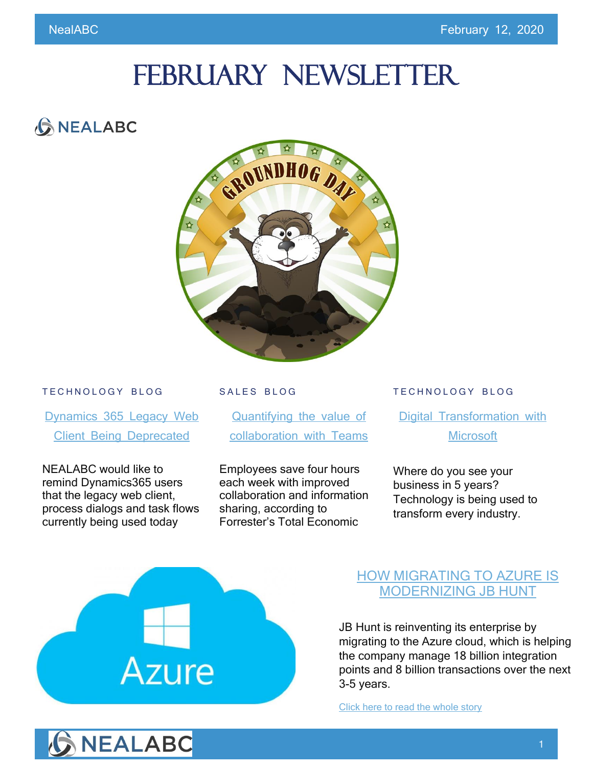# FEBRUARY NEWSLETTER

# **GNEALABC**



#### TECHNOLOGY BLOG

[Dynamics 365 Legacy Web](https://www.nealabc.com/dynamics-365-legacy-web-client-being-deprecated/) [Client Being Deprecated](https://www.nealabc.com/dynamics-365-legacy-web-client-being-deprecated/)

NEALABC would like to remind Dynamics365 users that the legacy web client, process dialogs and task flows currently being used today

#### SALES BLOG

[Quantifying the value of](https://www.nealabc.com/quantifying-the-value-of-collaboration-with-microsoft-teams/)  [collaboration with Teams](https://www.nealabc.com/quantifying-the-value-of-collaboration-with-microsoft-teams/)

Employees save four hours each week with improved collaboration and information sharing, according to Forrester's Total Economic

#### TECHNOLOGY BLOG

[Digital Transformation with](https://www.nealabc.com/digital-transformation-with-microsoft/?utm_source=rss&utm_medium=rss&utm_campaign=digital-transformation-with-microsoft)  **[Microsoft](https://www.nealabc.com/digital-transformation-with-microsoft/?utm_source=rss&utm_medium=rss&utm_campaign=digital-transformation-with-microsoft)** 

Where do you see your business in 5 years? Technology is being used to transform every industry.

# Azure

## [HOW MIGRATING TO AZURE IS](https://www.nealabc.com/how-migrating-to-azure-is-modernizing-jb-hunt/)  [MODERNIZING JB HUNT](https://www.nealabc.com/how-migrating-to-azure-is-modernizing-jb-hunt/)

JB Hunt is reinventing its enterprise by migrating to the Azure cloud, which is helping the company manage 18 billion integration points and 8 billion transactions over the next 3-5 years.

[Click here to read the whole story](https://www.nealabc.com/how-migrating-to-azure-is-modernizing-jb-hunt/)